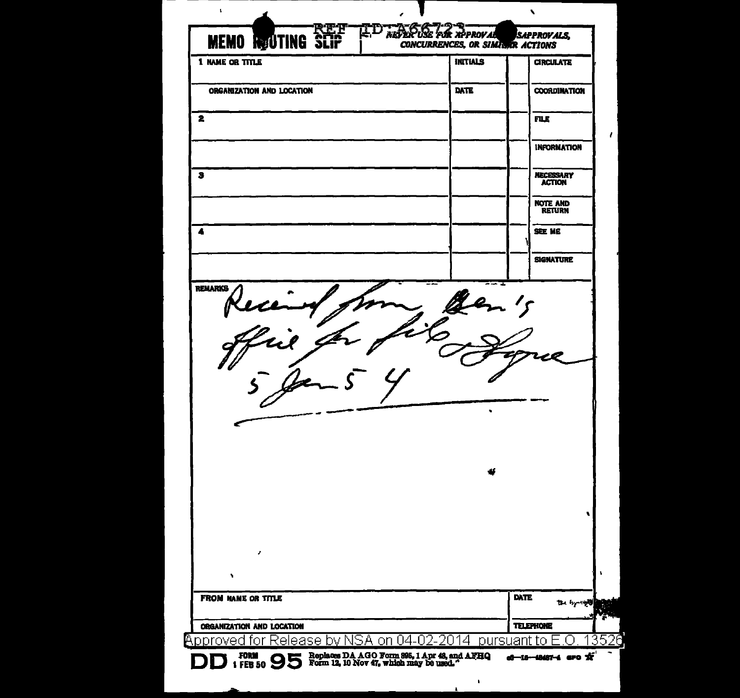| <b>MEMO ROUTING SCIP</b><br>1 NAME OR TITLE                      | <b>CONCURRENCES, OR SIMILAR ACTIONS</b><br><b>INITIALS</b> | <b>CIRCULATE</b>                                                                   |
|------------------------------------------------------------------|------------------------------------------------------------|------------------------------------------------------------------------------------|
| ORGANIZATION AND LOCATION                                        | DATE                                                       | <b>COORDINATION</b>                                                                |
| 2                                                                |                                                            | <b>FLE</b>                                                                         |
|                                                                  |                                                            |                                                                                    |
|                                                                  |                                                            | <b>INFORMATION</b>                                                                 |
| з                                                                |                                                            | <b>NECESSARY</b><br><b>ACTION</b>                                                  |
|                                                                  |                                                            | NOTE AND<br><b>RETURN</b>                                                          |
| 4                                                                |                                                            | SEE ME                                                                             |
|                                                                  |                                                            | <b>SIGNATURE</b>                                                                   |
| Recen<br>Llai                                                    |                                                            |                                                                                    |
|                                                                  |                                                            |                                                                                    |
| z<br>۰<br><b>FROM NAME OR TITLE</b><br>ORGANIZATION AND LOCATION |                                                            | <b>DATE</b><br>$\mathbf{u} = \mathbf{u}_1 \cdots \mathbf{u}_n$<br><b>TELEPHONE</b> |